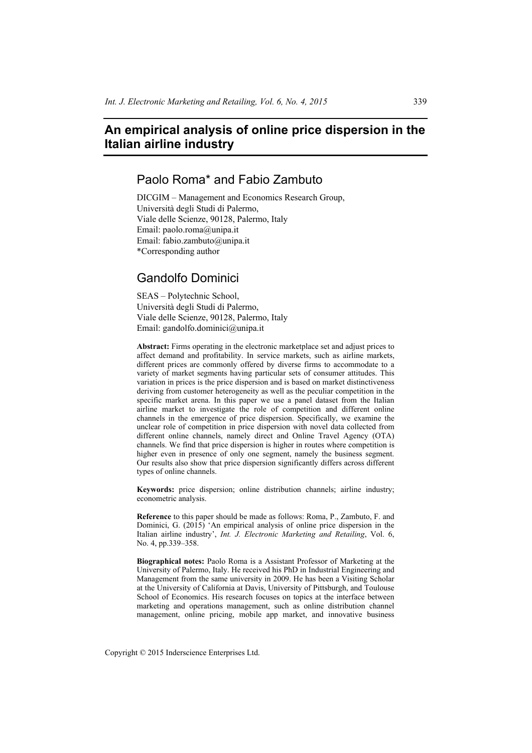# **An empirical analysis of online price dispersion in the Italian airline industry**

## Paolo Roma\* and Fabio Zambuto

DICGIM – Management and Economics Research Group, Università degli Studi di Palermo, Viale delle Scienze, 90128, Palermo, Italy Email: paolo.roma@unipa.it Email: fabio.zambuto@unipa.it \*Corresponding author

# Gandolfo Dominici

SEAS – Polytechnic School, Università degli Studi di Palermo, Viale delle Scienze, 90128, Palermo, Italy Email: gandolfo.dominici@unipa.it

**Abstract:** Firms operating in the electronic marketplace set and adjust prices to affect demand and profitability. In service markets, such as airline markets, different prices are commonly offered by diverse firms to accommodate to a variety of market segments having particular sets of consumer attitudes. This variation in prices is the price dispersion and is based on market distinctiveness deriving from customer heterogeneity as well as the peculiar competition in the specific market arena. In this paper we use a panel dataset from the Italian airline market to investigate the role of competition and different online channels in the emergence of price dispersion. Specifically, we examine the unclear role of competition in price dispersion with novel data collected from different online channels, namely direct and Online Travel Agency (OTA) channels. We find that price dispersion is higher in routes where competition is higher even in presence of only one segment, namely the business segment. Our results also show that price dispersion significantly differs across different types of online channels.

**Keywords:** price dispersion; online distribution channels; airline industry; econometric analysis.

**Reference** to this paper should be made as follows: Roma, P., Zambuto, F. and Dominici, G. (2015) 'An empirical analysis of online price dispersion in the Italian airline industry', *Int. J. Electronic Marketing and Retailing*, Vol. 6, No. 4, pp.339–358.

**Biographical notes:** Paolo Roma is a Assistant Professor of Marketing at the University of Palermo, Italy. He received his PhD in Industrial Engineering and Management from the same university in 2009. He has been a Visiting Scholar at the University of California at Davis, University of Pittsburgh, and Toulouse School of Economics. His research focuses on topics at the interface between marketing and operations management, such as online distribution channel management, online pricing, mobile app market, and innovative business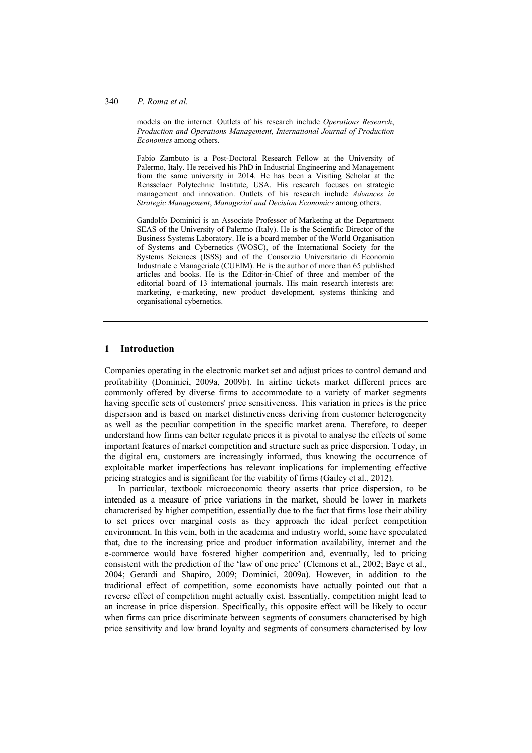models on the internet. Outlets of his research include *Operations Research*, *Production and Operations Management*, *International Journal of Production Economics* among others.

Fabio Zambuto is a Post-Doctoral Research Fellow at the University of Palermo, Italy. He received his PhD in Industrial Engineering and Management from the same university in 2014. He has been a Visiting Scholar at the Rensselaer Polytechnic Institute, USA. His research focuses on strategic management and innovation. Outlets of his research include *Advances in Strategic Management*, *Managerial and Decision Economics* among others.

Gandolfo Dominici is an Associate Professor of Marketing at the Department SEAS of the University of Palermo (Italy). He is the Scientific Director of the Business Systems Laboratory. He is a board member of the World Organisation of Systems and Cybernetics (WOSC), of the International Society for the Systems Sciences (ISSS) and of the Consorzio Universitario di Economia Industriale e Manageriale (CUEIM). He is the author of more than 65 published articles and books. He is the Editor-in-Chief of three and member of the editorial board of 13 international journals. His main research interests are: marketing, e-marketing, new product development, systems thinking and organisational cybernetics.

## **1 Introduction**

Companies operating in the electronic market set and adjust prices to control demand and profitability (Dominici, 2009a, 2009b). In airline tickets market different prices are commonly offered by diverse firms to accommodate to a variety of market segments having specific sets of customers' price sensitiveness. This variation in prices is the price dispersion and is based on market distinctiveness deriving from customer heterogeneity as well as the peculiar competition in the specific market arena. Therefore, to deeper understand how firms can better regulate prices it is pivotal to analyse the effects of some important features of market competition and structure such as price dispersion. Today, in the digital era, customers are increasingly informed, thus knowing the occurrence of exploitable market imperfections has relevant implications for implementing effective pricing strategies and is significant for the viability of firms (Gailey et al., 2012).

In particular, textbook microeconomic theory asserts that price dispersion, to be intended as a measure of price variations in the market, should be lower in markets characterised by higher competition, essentially due to the fact that firms lose their ability to set prices over marginal costs as they approach the ideal perfect competition environment. In this vein, both in the academia and industry world, some have speculated that, due to the increasing price and product information availability, internet and the e-commerce would have fostered higher competition and, eventually, led to pricing consistent with the prediction of the 'law of one price' (Clemons et al., 2002; Baye et al., 2004; Gerardi and Shapiro, 2009; Dominici, 2009a). However, in addition to the traditional effect of competition, some economists have actually pointed out that a reverse effect of competition might actually exist. Essentially, competition might lead to an increase in price dispersion. Specifically, this opposite effect will be likely to occur when firms can price discriminate between segments of consumers characterised by high price sensitivity and low brand loyalty and segments of consumers characterised by low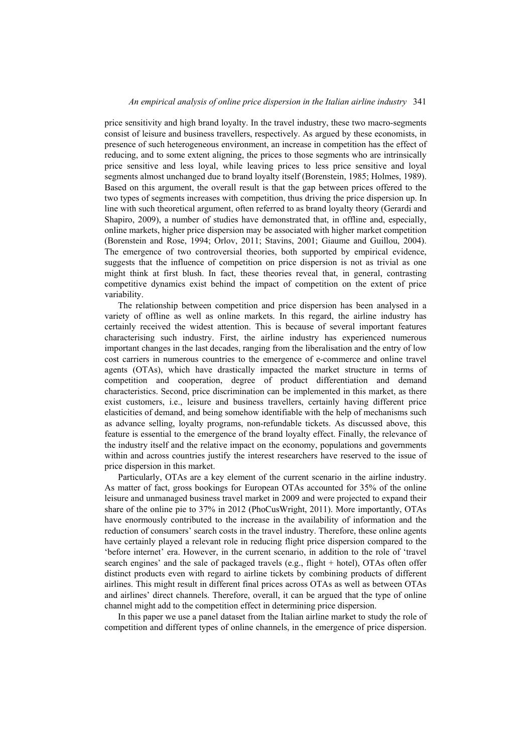price sensitivity and high brand loyalty. In the travel industry, these two macro-segments consist of leisure and business travellers, respectively. As argued by these economists, in presence of such heterogeneous environment, an increase in competition has the effect of reducing, and to some extent aligning, the prices to those segments who are intrinsically price sensitive and less loyal, while leaving prices to less price sensitive and loyal segments almost unchanged due to brand loyalty itself (Borenstein, 1985; Holmes, 1989). Based on this argument, the overall result is that the gap between prices offered to the two types of segments increases with competition, thus driving the price dispersion up. In line with such theoretical argument, often referred to as brand loyalty theory (Gerardi and Shapiro, 2009), a number of studies have demonstrated that, in offline and, especially, online markets, higher price dispersion may be associated with higher market competition (Borenstein and Rose, 1994; Orlov, 2011; Stavins, 2001; Giaume and Guillou, 2004). The emergence of two controversial theories, both supported by empirical evidence, suggests that the influence of competition on price dispersion is not as trivial as one might think at first blush. In fact, these theories reveal that, in general, contrasting competitive dynamics exist behind the impact of competition on the extent of price variability.

The relationship between competition and price dispersion has been analysed in a variety of offline as well as online markets. In this regard, the airline industry has certainly received the widest attention. This is because of several important features characterising such industry. First, the airline industry has experienced numerous important changes in the last decades, ranging from the liberalisation and the entry of low cost carriers in numerous countries to the emergence of e-commerce and online travel agents (OTAs), which have drastically impacted the market structure in terms of competition and cooperation, degree of product differentiation and demand characteristics. Second, price discrimination can be implemented in this market, as there exist customers, i.e., leisure and business travellers, certainly having different price elasticities of demand, and being somehow identifiable with the help of mechanisms such as advance selling, loyalty programs, non-refundable tickets. As discussed above, this feature is essential to the emergence of the brand loyalty effect. Finally, the relevance of the industry itself and the relative impact on the economy, populations and governments within and across countries justify the interest researchers have reserved to the issue of price dispersion in this market.

Particularly, OTAs are a key element of the current scenario in the airline industry. As matter of fact, gross bookings for European OTAs accounted for 35% of the online leisure and unmanaged business travel market in 2009 and were projected to expand their share of the online pie to 37% in 2012 (PhoCusWright, 2011). More importantly, OTAs have enormously contributed to the increase in the availability of information and the reduction of consumers' search costs in the travel industry. Therefore, these online agents have certainly played a relevant role in reducing flight price dispersion compared to the 'before internet' era. However, in the current scenario, in addition to the role of 'travel search engines' and the sale of packaged travels (e.g., flight + hotel), OTAs often offer distinct products even with regard to airline tickets by combining products of different airlines. This might result in different final prices across OTAs as well as between OTAs and airlines' direct channels. Therefore, overall, it can be argued that the type of online channel might add to the competition effect in determining price dispersion.

In this paper we use a panel dataset from the Italian airline market to study the role of competition and different types of online channels, in the emergence of price dispersion.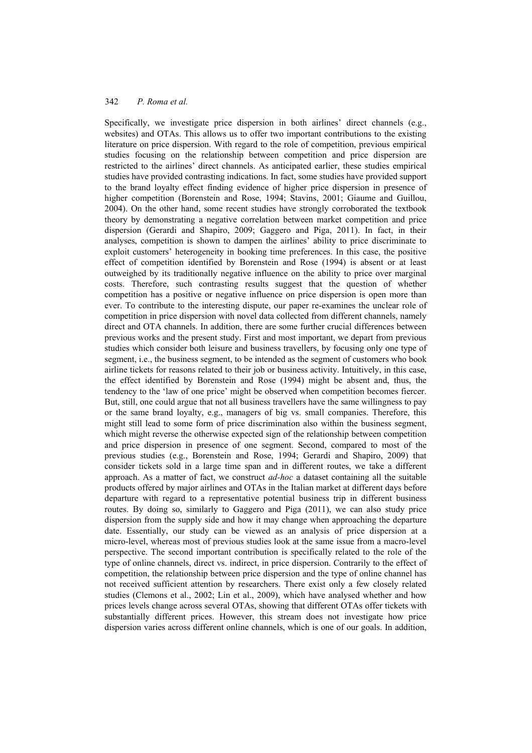Specifically, we investigate price dispersion in both airlines' direct channels (e.g., websites) and OTAs. This allows us to offer two important contributions to the existing literature on price dispersion. With regard to the role of competition, previous empirical studies focusing on the relationship between competition and price dispersion are restricted to the airlines' direct channels. As anticipated earlier, these studies empirical studies have provided contrasting indications. In fact, some studies have provided support to the brand loyalty effect finding evidence of higher price dispersion in presence of higher competition (Borenstein and Rose, 1994; Stavins, 2001; Giaume and Guillou, 2004). On the other hand, some recent studies have strongly corroborated the textbook theory by demonstrating a negative correlation between market competition and price dispersion (Gerardi and Shapiro, 2009; Gaggero and Piga, 2011). In fact, in their analyses, competition is shown to dampen the airlines' ability to price discriminate to exploit customers' heterogeneity in booking time preferences. In this case, the positive effect of competition identified by Borenstein and Rose (1994) is absent or at least outweighed by its traditionally negative influence on the ability to price over marginal costs. Therefore, such contrasting results suggest that the question of whether competition has a positive or negative influence on price dispersion is open more than ever. To contribute to the interesting dispute, our paper re-examines the unclear role of competition in price dispersion with novel data collected from different channels, namely direct and OTA channels. In addition, there are some further crucial differences between previous works and the present study. First and most important, we depart from previous studies which consider both leisure and business travellers, by focusing only one type of segment, i.e., the business segment, to be intended as the segment of customers who book airline tickets for reasons related to their job or business activity. Intuitively, in this case, the effect identified by Borenstein and Rose (1994) might be absent and, thus, the tendency to the 'law of one price' might be observed when competition becomes fiercer. But, still, one could argue that not all business travellers have the same willingness to pay or the same brand loyalty, e.g., managers of big vs. small companies. Therefore, this might still lead to some form of price discrimination also within the business segment, which might reverse the otherwise expected sign of the relationship between competition and price dispersion in presence of one segment. Second, compared to most of the previous studies (e.g., Borenstein and Rose, 1994; Gerardi and Shapiro, 2009) that consider tickets sold in a large time span and in different routes, we take a different approach. As a matter of fact, we construct *ad-hoc* a dataset containing all the suitable products offered by major airlines and OTAs in the Italian market at different days before departure with regard to a representative potential business trip in different business routes. By doing so, similarly to Gaggero and Piga (2011), we can also study price dispersion from the supply side and how it may change when approaching the departure date. Essentially, our study can be viewed as an analysis of price dispersion at a micro-level, whereas most of previous studies look at the same issue from a macro-level perspective. The second important contribution is specifically related to the role of the type of online channels, direct vs. indirect, in price dispersion. Contrarily to the effect of competition, the relationship between price dispersion and the type of online channel has not received sufficient attention by researchers. There exist only a few closely related studies (Clemons et al., 2002; Lin et al., 2009), which have analysed whether and how prices levels change across several OTAs, showing that different OTAs offer tickets with substantially different prices. However, this stream does not investigate how price dispersion varies across different online channels, which is one of our goals. In addition,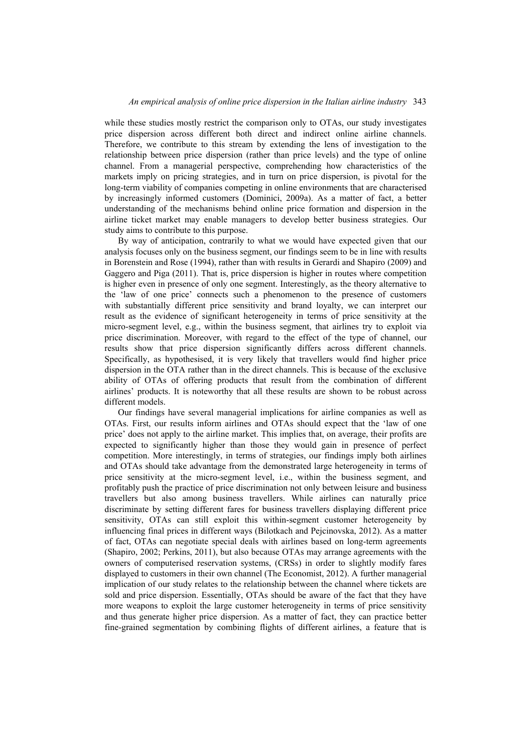while these studies mostly restrict the comparison only to OTAs, our study investigates price dispersion across different both direct and indirect online airline channels. Therefore, we contribute to this stream by extending the lens of investigation to the relationship between price dispersion (rather than price levels) and the type of online channel. From a managerial perspective, comprehending how characteristics of the markets imply on pricing strategies, and in turn on price dispersion, is pivotal for the long-term viability of companies competing in online environments that are characterised by increasingly informed customers (Dominici, 2009a). As a matter of fact, a better understanding of the mechanisms behind online price formation and dispersion in the airline ticket market may enable managers to develop better business strategies. Our study aims to contribute to this purpose.

By way of anticipation, contrarily to what we would have expected given that our analysis focuses only on the business segment, our findings seem to be in line with results in Borenstein and Rose (1994), rather than with results in Gerardi and Shapiro (2009) and Gaggero and Piga (2011). That is, price dispersion is higher in routes where competition is higher even in presence of only one segment. Interestingly, as the theory alternative to the 'law of one price' connects such a phenomenon to the presence of customers with substantially different price sensitivity and brand loyalty, we can interpret our result as the evidence of significant heterogeneity in terms of price sensitivity at the micro-segment level, e.g., within the business segment, that airlines try to exploit via price discrimination. Moreover, with regard to the effect of the type of channel, our results show that price dispersion significantly differs across different channels. Specifically, as hypothesised, it is very likely that travellers would find higher price dispersion in the OTA rather than in the direct channels. This is because of the exclusive ability of OTAs of offering products that result from the combination of different airlines' products. It is noteworthy that all these results are shown to be robust across different models.

Our findings have several managerial implications for airline companies as well as OTAs. First, our results inform airlines and OTAs should expect that the 'law of one price' does not apply to the airline market. This implies that, on average, their profits are expected to significantly higher than those they would gain in presence of perfect competition. More interestingly, in terms of strategies, our findings imply both airlines and OTAs should take advantage from the demonstrated large heterogeneity in terms of price sensitivity at the micro-segment level, i.e., within the business segment, and profitably push the practice of price discrimination not only between leisure and business travellers but also among business travellers. While airlines can naturally price discriminate by setting different fares for business travellers displaying different price sensitivity, OTAs can still exploit this within-segment customer heterogeneity by influencing final prices in different ways (Bilotkach and Pejcinovska, 2012). As a matter of fact, OTAs can negotiate special deals with airlines based on long-term agreements (Shapiro, 2002; Perkins, 2011), but also because OTAs may arrange agreements with the owners of computerised reservation systems, (CRSs) in order to slightly modify fares displayed to customers in their own channel (The Economist, 2012). A further managerial implication of our study relates to the relationship between the channel where tickets are sold and price dispersion. Essentially, OTAs should be aware of the fact that they have more weapons to exploit the large customer heterogeneity in terms of price sensitivity and thus generate higher price dispersion. As a matter of fact, they can practice better fine-grained segmentation by combining flights of different airlines, a feature that is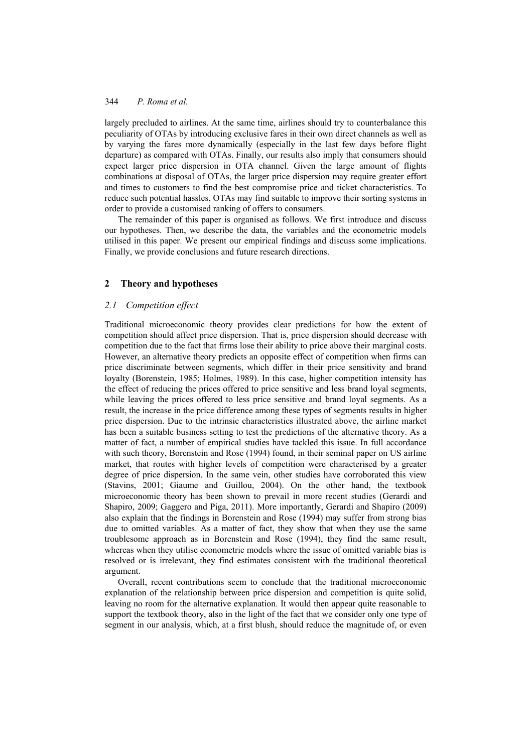largely precluded to airlines. At the same time, airlines should try to counterbalance this peculiarity of OTAs by introducing exclusive fares in their own direct channels as well as by varying the fares more dynamically (especially in the last few days before flight departure) as compared with OTAs. Finally, our results also imply that consumers should expect larger price dispersion in OTA channel. Given the large amount of flights combinations at disposal of OTAs, the larger price dispersion may require greater effort and times to customers to find the best compromise price and ticket characteristics. To reduce such potential hassles, OTAs may find suitable to improve their sorting systems in order to provide a customised ranking of offers to consumers.

The remainder of this paper is organised as follows. We first introduce and discuss our hypotheses. Then, we describe the data, the variables and the econometric models utilised in this paper. We present our empirical findings and discuss some implications. Finally, we provide conclusions and future research directions.

### **2 Theory and hypotheses**

#### *2.1 Competition effect*

Traditional microeconomic theory provides clear predictions for how the extent of competition should affect price dispersion. That is, price dispersion should decrease with competition due to the fact that firms lose their ability to price above their marginal costs. However, an alternative theory predicts an opposite effect of competition when firms can price discriminate between segments, which differ in their price sensitivity and brand loyalty (Borenstein, 1985; Holmes, 1989). In this case, higher competition intensity has the effect of reducing the prices offered to price sensitive and less brand loyal segments, while leaving the prices offered to less price sensitive and brand loyal segments. As a result, the increase in the price difference among these types of segments results in higher price dispersion. Due to the intrinsic characteristics illustrated above, the airline market has been a suitable business setting to test the predictions of the alternative theory. As a matter of fact, a number of empirical studies have tackled this issue. In full accordance with such theory, Borenstein and Rose (1994) found, in their seminal paper on US airline market, that routes with higher levels of competition were characterised by a greater degree of price dispersion. In the same vein, other studies have corroborated this view (Stavins, 2001; Giaume and Guillou, 2004). On the other hand, the textbook microeconomic theory has been shown to prevail in more recent studies (Gerardi and Shapiro, 2009; Gaggero and Piga, 2011). More importantly, Gerardi and Shapiro (2009) also explain that the findings in Borenstein and Rose (1994) may suffer from strong bias due to omitted variables. As a matter of fact, they show that when they use the same troublesome approach as in Borenstein and Rose (1994), they find the same result, whereas when they utilise econometric models where the issue of omitted variable bias is resolved or is irrelevant, they find estimates consistent with the traditional theoretical argument.

Overall, recent contributions seem to conclude that the traditional microeconomic explanation of the relationship between price dispersion and competition is quite solid, leaving no room for the alternative explanation. It would then appear quite reasonable to support the textbook theory, also in the light of the fact that we consider only one type of segment in our analysis, which, at a first blush, should reduce the magnitude of, or even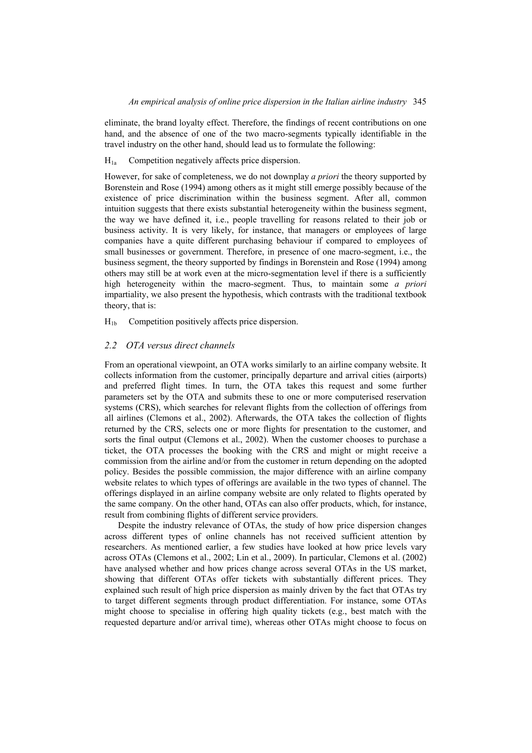eliminate, the brand loyalty effect. Therefore, the findings of recent contributions on one hand, and the absence of one of the two macro-segments typically identifiable in the travel industry on the other hand, should lead us to formulate the following:

## $H_{1a}$  Competition negatively affects price dispersion.

However, for sake of completeness, we do not downplay *a priori* the theory supported by Borenstein and Rose (1994) among others as it might still emerge possibly because of the existence of price discrimination within the business segment. After all, common intuition suggests that there exists substantial heterogeneity within the business segment, the way we have defined it, i.e., people travelling for reasons related to their job or business activity. It is very likely, for instance, that managers or employees of large companies have a quite different purchasing behaviour if compared to employees of small businesses or government. Therefore, in presence of one macro-segment, i.e., the business segment, the theory supported by findings in Borenstein and Rose (1994) among others may still be at work even at the micro-segmentation level if there is a sufficiently high heterogeneity within the macro-segment. Thus, to maintain some *a priori* impartiality, we also present the hypothesis, which contrasts with the traditional textbook theory, that is:

 $H<sub>1b</sub>$  Competition positively affects price dispersion.

#### *2.2 OTA versus direct channels*

From an operational viewpoint, an OTA works similarly to an airline company website. It collects information from the customer, principally departure and arrival cities (airports) and preferred flight times. In turn, the OTA takes this request and some further parameters set by the OTA and submits these to one or more computerised reservation systems (CRS), which searches for relevant flights from the collection of offerings from all airlines (Clemons et al., 2002). Afterwards, the OTA takes the collection of flights returned by the CRS, selects one or more flights for presentation to the customer, and sorts the final output (Clemons et al., 2002). When the customer chooses to purchase a ticket, the OTA processes the booking with the CRS and might or might receive a commission from the airline and/or from the customer in return depending on the adopted policy. Besides the possible commission, the major difference with an airline company website relates to which types of offerings are available in the two types of channel. The offerings displayed in an airline company website are only related to flights operated by the same company. On the other hand, OTAs can also offer products, which, for instance, result from combining flights of different service providers.

Despite the industry relevance of OTAs, the study of how price dispersion changes across different types of online channels has not received sufficient attention by researchers. As mentioned earlier, a few studies have looked at how price levels vary across OTAs (Clemons et al., 2002; Lin et al., 2009). In particular, Clemons et al. (2002) have analysed whether and how prices change across several OTAs in the US market, showing that different OTAs offer tickets with substantially different prices. They explained such result of high price dispersion as mainly driven by the fact that OTAs try to target different segments through product differentiation. For instance, some OTAs might choose to specialise in offering high quality tickets (e.g., best match with the requested departure and/or arrival time), whereas other OTAs might choose to focus on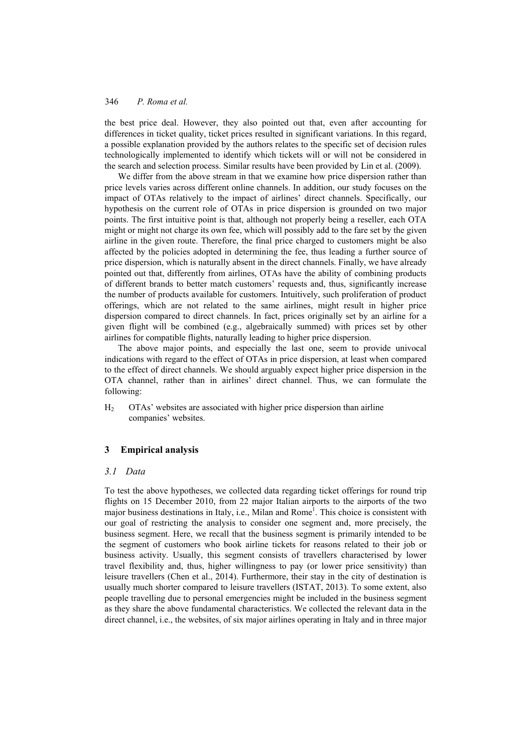the best price deal. However, they also pointed out that, even after accounting for differences in ticket quality, ticket prices resulted in significant variations. In this regard, a possible explanation provided by the authors relates to the specific set of decision rules technologically implemented to identify which tickets will or will not be considered in the search and selection process. Similar results have been provided by Lin et al. (2009).

We differ from the above stream in that we examine how price dispersion rather than price levels varies across different online channels. In addition, our study focuses on the impact of OTAs relatively to the impact of airlines' direct channels. Specifically, our hypothesis on the current role of OTAs in price dispersion is grounded on two major points. The first intuitive point is that, although not properly being a reseller, each OTA might or might not charge its own fee, which will possibly add to the fare set by the given airline in the given route. Therefore, the final price charged to customers might be also affected by the policies adopted in determining the fee, thus leading a further source of price dispersion, which is naturally absent in the direct channels. Finally, we have already pointed out that, differently from airlines, OTAs have the ability of combining products of different brands to better match customers' requests and, thus, significantly increase the number of products available for customers. Intuitively, such proliferation of product offerings, which are not related to the same airlines, might result in higher price dispersion compared to direct channels. In fact, prices originally set by an airline for a given flight will be combined (e.g., algebraically summed) with prices set by other airlines for compatible flights, naturally leading to higher price dispersion.

The above major points, and especially the last one, seem to provide univocal indications with regard to the effect of OTAs in price dispersion, at least when compared to the effect of direct channels. We should arguably expect higher price dispersion in the OTA channel, rather than in airlines' direct channel. Thus, we can formulate the following:

H2 OTAs' websites are associated with higher price dispersion than airline companies' websites.

### **3 Empirical analysis**

#### *3.1 Data*

To test the above hypotheses, we collected data regarding ticket offerings for round trip flights on 15 December 2010, from 22 major Italian airports to the airports of the two major business destinations in Italy, i.e., Milan and Rome<sup>1</sup>. This choice is consistent with our goal of restricting the analysis to consider one segment and, more precisely, the business segment. Here, we recall that the business segment is primarily intended to be the segment of customers who book airline tickets for reasons related to their job or business activity. Usually, this segment consists of travellers characterised by lower travel flexibility and, thus, higher willingness to pay (or lower price sensitivity) than leisure travellers (Chen et al., 2014). Furthermore, their stay in the city of destination is usually much shorter compared to leisure travellers (ISTAT, 2013). To some extent, also people travelling due to personal emergencies might be included in the business segment as they share the above fundamental characteristics. We collected the relevant data in the direct channel, i.e., the websites, of six major airlines operating in Italy and in three major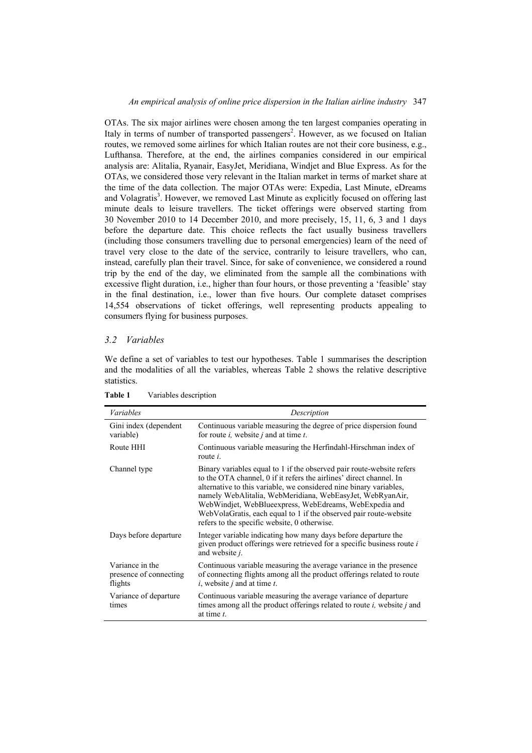OTAs. The six major airlines were chosen among the ten largest companies operating in Italy in terms of number of transported passengers<sup>2</sup>. However, as we focused on Italian routes, we removed some airlines for which Italian routes are not their core business, e.g., Lufthansa. Therefore, at the end, the airlines companies considered in our empirical analysis are: Alitalia, Ryanair, EasyJet, Meridiana, Windjet and Blue Express. As for the OTAs, we considered those very relevant in the Italian market in terms of market share at the time of the data collection. The major OTAs were: Expedia, Last Minute, eDreams and Volagratis<sup>3</sup>. However, we removed Last Minute as explicitly focused on offering last minute deals to leisure travellers. The ticket offerings were observed starting from 30 November 2010 to 14 December 2010, and more precisely, 15, 11, 6, 3 and 1 days before the departure date. This choice reflects the fact usually business travellers (including those consumers travelling due to personal emergencies) learn of the need of travel very close to the date of the service, contrarily to leisure travellers, who can, instead, carefully plan their travel. Since, for sake of convenience, we considered a round trip by the end of the day, we eliminated from the sample all the combinations with excessive flight duration, i.e., higher than four hours, or those preventing a 'feasible' stay in the final destination, i.e., lower than five hours. Our complete dataset comprises 14,554 observations of ticket offerings, well representing products appealing to consumers flying for business purposes.

### *3.2 Variables*

We define a set of variables to test our hypotheses. Table 1 summarises the description and the modalities of all the variables, whereas Table 2 shows the relative descriptive statistics.

| <i>Variables</i>                                     | Description                                                                                                                                                                                                                                                                                                                                                                                                                                                    |  |  |
|------------------------------------------------------|----------------------------------------------------------------------------------------------------------------------------------------------------------------------------------------------------------------------------------------------------------------------------------------------------------------------------------------------------------------------------------------------------------------------------------------------------------------|--|--|
| Gini index (dependent<br>variable)                   | Continuous variable measuring the degree of price dispersion found<br>for route $i$ , website $j$ and at time $t$ .                                                                                                                                                                                                                                                                                                                                            |  |  |
| Route HHI                                            | Continuous variable measuring the Herfindahl-Hirschman index of<br>route $i$ .                                                                                                                                                                                                                                                                                                                                                                                 |  |  |
| Channel type                                         | Binary variables equal to 1 if the observed pair route-website refers<br>to the OTA channel, 0 if it refers the airlines' direct channel. In<br>alternative to this variable, we considered nine binary variables,<br>namely WebAlitalia, WebMeridiana, WebEasyJet, WebRyanAir,<br>WebWindjet, WebBlueexpress, WebEdreams, WebExpedia and<br>WebVolaGratis, each equal to 1 if the observed pair route-website<br>refers to the specific website, 0 otherwise. |  |  |
| Days before departure                                | Integer variable indicating how many days before departure the<br>given product offerings were retrieved for a specific business route $i$<br>and website <i>j</i> .                                                                                                                                                                                                                                                                                           |  |  |
| Variance in the<br>presence of connecting<br>flights | Continuous variable measuring the average variance in the presence<br>of connecting flights among all the product offerings related to route<br>$i$ , website $j$ and at time $t$ .                                                                                                                                                                                                                                                                            |  |  |
| Variance of departure<br>times                       | Continuous variable measuring the average variance of departure<br>times among all the product offerings related to route <i>i</i> , website <i>j</i> and<br>at time t.                                                                                                                                                                                                                                                                                        |  |  |

**Table 1** Variables description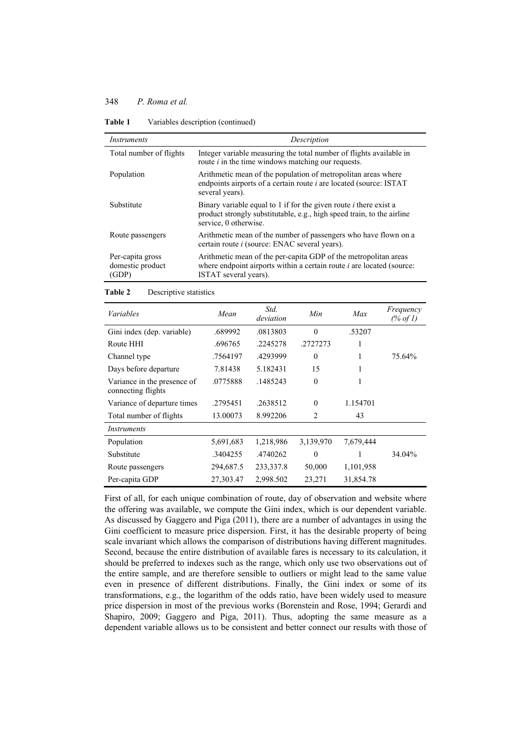**Table 1** Variables description (continued)

| <i>Instruments</i>                            | Description                                                                                                                                                            |
|-----------------------------------------------|------------------------------------------------------------------------------------------------------------------------------------------------------------------------|
| Total number of flights                       | Integer variable measuring the total number of flights available in<br>route $i$ in the time windows matching our requests.                                            |
| Population                                    | Arithmetic mean of the population of metropolitan areas where<br>endpoints airports of a certain route <i>i</i> are located (source: ISTAT<br>several years).          |
| Substitute                                    | Binary variable equal to 1 if for the given route $i$ there exist a<br>product strongly substitutable, e.g., high speed train, to the airline<br>service, 0 otherwise. |
| Route passengers                              | Arithmetic mean of the number of passengers who have flown on a<br>certain route <i>i</i> (source: ENAC several years).                                                |
| Per-capita gross<br>domestic product<br>(GDP) | Arithmetic mean of the per-capita GDP of the metropolitan areas<br>where endpoint airports within a certain route $i$ are located (source:<br>ISTAT several years).    |

**Table 2** Descriptive statistics

| Variables                                         | Mean      | Std.<br>deviation | Min       | Max       | Frequency<br>(% of 1) |
|---------------------------------------------------|-----------|-------------------|-----------|-----------|-----------------------|
| Gini index (dep. variable)                        | .689992   | .0813803          | $\Omega$  | .53207    |                       |
| Route HHI                                         | .696765   | .2245278          | .2727273  | 1         |                       |
| Channel type                                      | .7564197  | .4293999          | $\Omega$  | 1         | 75.64%                |
| Days before departure                             | 7.81438   | 5.182431          | 15        |           |                       |
| Variance in the presence of<br>connecting flights | .0775888  | .1485243          | $\theta$  | 1         |                       |
| Variance of departure times                       | .2795451  | .2638512          | $\Omega$  | 1.154701  |                       |
| Total number of flights                           | 13.00073  | 8.992206          | 2         | 43        |                       |
| <i>Instruments</i>                                |           |                   |           |           |                       |
| Population                                        | 5,691,683 | 1,218,986         | 3,139,970 | 7,679,444 |                       |
| Substitute                                        | .3404255  | .4740262          | $\theta$  |           | 34.04%                |
| Route passengers                                  | 294,687.5 | 233, 337.8        | 50,000    | 1,101,958 |                       |
| Per-capita GDP                                    | 27,303.47 | 2,998.502         | 23,271    | 31,854.78 |                       |

First of all, for each unique combination of route, day of observation and website where the offering was available, we compute the Gini index, which is our dependent variable. As discussed by Gaggero and Piga (2011), there are a number of advantages in using the Gini coefficient to measure price dispersion. First, it has the desirable property of being scale invariant which allows the comparison of distributions having different magnitudes. Second, because the entire distribution of available fares is necessary to its calculation, it should be preferred to indexes such as the range, which only use two observations out of the entire sample, and are therefore sensible to outliers or might lead to the same value even in presence of different distributions. Finally, the Gini index or some of its transformations, e.g., the logarithm of the odds ratio, have been widely used to measure price dispersion in most of the previous works (Borenstein and Rose, 1994; Gerardi and Shapiro, 2009; Gaggero and Piga, 2011). Thus, adopting the same measure as a dependent variable allows us to be consistent and better connect our results with those of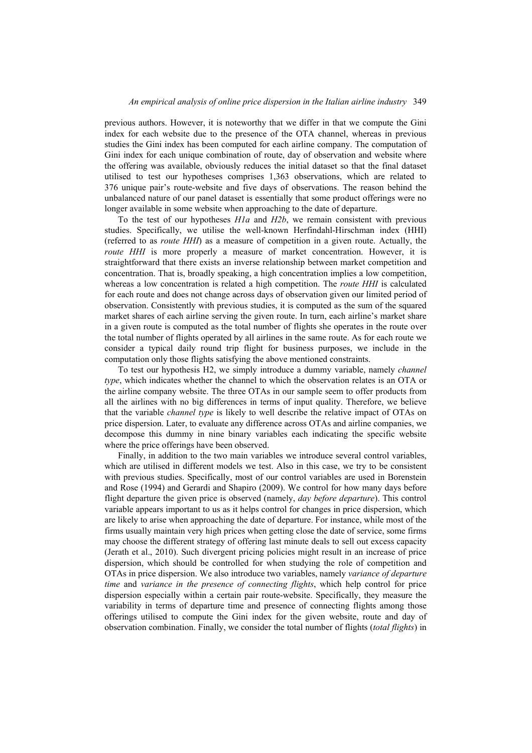previous authors. However, it is noteworthy that we differ in that we compute the Gini index for each website due to the presence of the OTA channel, whereas in previous studies the Gini index has been computed for each airline company. The computation of Gini index for each unique combination of route, day of observation and website where the offering was available, obviously reduces the initial dataset so that the final dataset utilised to test our hypotheses comprises 1,363 observations, which are related to 376 unique pair's route-website and five days of observations. The reason behind the unbalanced nature of our panel dataset is essentially that some product offerings were no longer available in some website when approaching to the date of departure.

To the test of our hypotheses *H1a* and *H2b*, we remain consistent with previous studies. Specifically, we utilise the well-known Herfindahl-Hirschman index (HHI) (referred to as *route HHI*) as a measure of competition in a given route. Actually, the *route HHI* is more properly a measure of market concentration. However, it is straightforward that there exists an inverse relationship between market competition and concentration. That is, broadly speaking, a high concentration implies a low competition, whereas a low concentration is related a high competition. The *route HHI* is calculated for each route and does not change across days of observation given our limited period of observation. Consistently with previous studies, it is computed as the sum of the squared market shares of each airline serving the given route. In turn, each airline's market share in a given route is computed as the total number of flights she operates in the route over the total number of flights operated by all airlines in the same route. As for each route we consider a typical daily round trip flight for business purposes, we include in the computation only those flights satisfying the above mentioned constraints.

To test our hypothesis H2, we simply introduce a dummy variable, namely *channel type*, which indicates whether the channel to which the observation relates is an OTA or the airline company website. The three OTAs in our sample seem to offer products from all the airlines with no big differences in terms of input quality. Therefore, we believe that the variable *channel type* is likely to well describe the relative impact of OTAs on price dispersion. Later, to evaluate any difference across OTAs and airline companies, we decompose this dummy in nine binary variables each indicating the specific website where the price offerings have been observed.

Finally, in addition to the two main variables we introduce several control variables, which are utilised in different models we test. Also in this case, we try to be consistent with previous studies. Specifically, most of our control variables are used in Borenstein and Rose (1994) and Gerardi and Shapiro (2009). We control for how many days before flight departure the given price is observed (namely, *day before departure*). This control variable appears important to us as it helps control for changes in price dispersion, which are likely to arise when approaching the date of departure. For instance, while most of the firms usually maintain very high prices when getting close the date of service, some firms may choose the different strategy of offering last minute deals to sell out excess capacity (Jerath et al., 2010). Such divergent pricing policies might result in an increase of price dispersion, which should be controlled for when studying the role of competition and OTAs in price dispersion. We also introduce two variables, namely *variance of departure time* and *variance in the presence of connecting flights*, which help control for price dispersion especially within a certain pair route-website. Specifically, they measure the variability in terms of departure time and presence of connecting flights among those offerings utilised to compute the Gini index for the given website, route and day of observation combination. Finally, we consider the total number of flights (*total flights*) in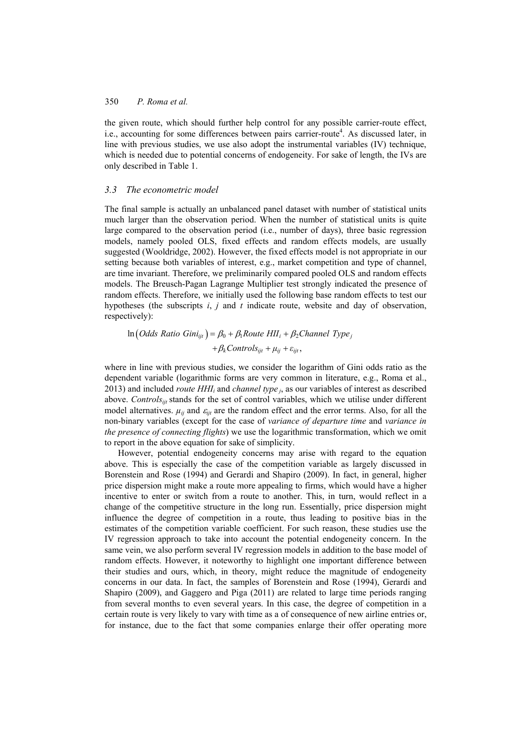the given route, which should further help control for any possible carrier-route effect, i.e., accounting for some differences between pairs carrier-route<sup>4</sup>. As discussed later, in line with previous studies, we use also adopt the instrumental variables (IV) technique, which is needed due to potential concerns of endogeneity. For sake of length, the IVs are only described in Table 1.

#### *3.3 The econometric model*

The final sample is actually an unbalanced panel dataset with number of statistical units much larger than the observation period. When the number of statistical units is quite large compared to the observation period (i.e., number of days), three basic regression models, namely pooled OLS, fixed effects and random effects models, are usually suggested (Wooldridge, 2002). However, the fixed effects model is not appropriate in our setting because both variables of interest, e.g., market competition and type of channel, are time invariant. Therefore, we preliminarily compared pooled OLS and random effects models. The Breusch-Pagan Lagrange Multiplier test strongly indicated the presence of random effects. Therefore, we initially used the following base random effects to test our hypotheses (the subscripts *i*, *j* and *t* indicate route, website and day of observation, respectively):

 $\ln \left( Odds \; Ratio \; Gini_{ijt} \right) = \beta_0 + \beta_1 Route \; HII_i + \beta_2 Channel \; Type_j$  $+\beta_k$ Controls<sub>ijt</sub> +  $\mu_{ij}$  +  $\varepsilon_{ijt}$ ,

where in line with previous studies, we consider the logarithm of Gini odds ratio as the dependent variable (logarithmic forms are very common in literature, e.g., Roma et al., 2013) and included *route HHIi* and *channel type j*, as our variables of interest as described above. *Controlsijt* stands for the set of control variables, which we utilise under different model alternatives.  $\mu_{ij}$  and  $\varepsilon_{ijt}$  are the random effect and the error terms. Also, for all the non-binary variables (except for the case of *variance of departure time* and *variance in the presence of connecting flights*) we use the logarithmic transformation, which we omit to report in the above equation for sake of simplicity.

However, potential endogeneity concerns may arise with regard to the equation above. This is especially the case of the competition variable as largely discussed in Borenstein and Rose (1994) and Gerardi and Shapiro (2009). In fact, in general, higher price dispersion might make a route more appealing to firms, which would have a higher incentive to enter or switch from a route to another. This, in turn, would reflect in a change of the competitive structure in the long run. Essentially, price dispersion might influence the degree of competition in a route, thus leading to positive bias in the estimates of the competition variable coefficient. For such reason, these studies use the IV regression approach to take into account the potential endogeneity concern. In the same vein, we also perform several IV regression models in addition to the base model of random effects. However, it noteworthy to highlight one important difference between their studies and ours, which, in theory, might reduce the magnitude of endogeneity concerns in our data. In fact, the samples of Borenstein and Rose (1994), Gerardi and Shapiro (2009), and Gaggero and Piga (2011) are related to large time periods ranging from several months to even several years. In this case, the degree of competition in a certain route is very likely to vary with time as a of consequence of new airline entries or, for instance, due to the fact that some companies enlarge their offer operating more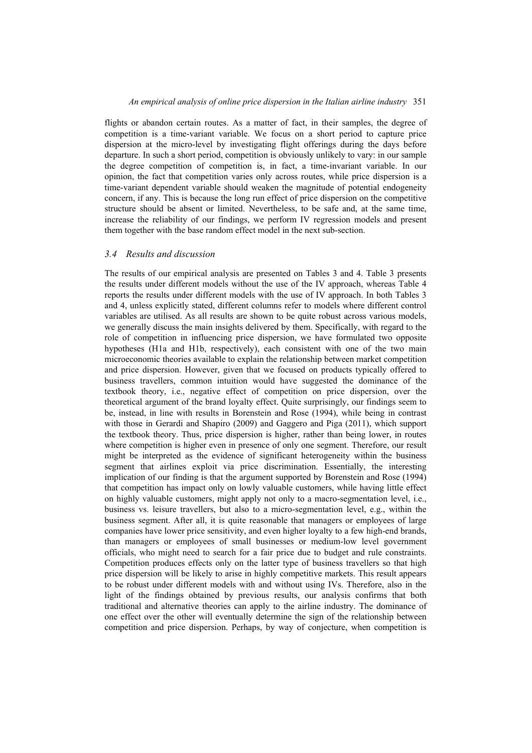flights or abandon certain routes. As a matter of fact, in their samples, the degree of competition is a time-variant variable. We focus on a short period to capture price dispersion at the micro-level by investigating flight offerings during the days before departure. In such a short period, competition is obviously unlikely to vary: in our sample the degree competition of competition is, in fact, a time-invariant variable. In our opinion, the fact that competition varies only across routes, while price dispersion is a time-variant dependent variable should weaken the magnitude of potential endogeneity concern, if any. This is because the long run effect of price dispersion on the competitive structure should be absent or limited. Nevertheless, to be safe and, at the same time, increase the reliability of our findings, we perform IV regression models and present them together with the base random effect model in the next sub-section.

## *3.4 Results and discussion*

The results of our empirical analysis are presented on Tables 3 and 4. Table 3 presents the results under different models without the use of the IV approach, whereas Table 4 reports the results under different models with the use of IV approach. In both Tables 3 and 4, unless explicitly stated, different columns refer to models where different control variables are utilised. As all results are shown to be quite robust across various models, we generally discuss the main insights delivered by them. Specifically, with regard to the role of competition in influencing price dispersion, we have formulated two opposite hypotheses (H1a and H1b, respectively), each consistent with one of the two main microeconomic theories available to explain the relationship between market competition and price dispersion. However, given that we focused on products typically offered to business travellers, common intuition would have suggested the dominance of the textbook theory, i.e., negative effect of competition on price dispersion, over the theoretical argument of the brand loyalty effect. Quite surprisingly, our findings seem to be, instead, in line with results in Borenstein and Rose (1994), while being in contrast with those in Gerardi and Shapiro (2009) and Gaggero and Piga (2011), which support the textbook theory. Thus, price dispersion is higher, rather than being lower, in routes where competition is higher even in presence of only one segment. Therefore, our result might be interpreted as the evidence of significant heterogeneity within the business segment that airlines exploit via price discrimination. Essentially, the interesting implication of our finding is that the argument supported by Borenstein and Rose (1994) that competition has impact only on lowly valuable customers, while having little effect on highly valuable customers, might apply not only to a macro-segmentation level, i.e., business vs. leisure travellers, but also to a micro-segmentation level, e.g., within the business segment. After all, it is quite reasonable that managers or employees of large companies have lower price sensitivity, and even higher loyalty to a few high-end brands, than managers or employees of small businesses or medium-low level government officials, who might need to search for a fair price due to budget and rule constraints. Competition produces effects only on the latter type of business travellers so that high price dispersion will be likely to arise in highly competitive markets. This result appears to be robust under different models with and without using IVs. Therefore, also in the light of the findings obtained by previous results, our analysis confirms that both traditional and alternative theories can apply to the airline industry. The dominance of one effect over the other will eventually determine the sign of the relationship between competition and price dispersion. Perhaps, by way of conjecture, when competition is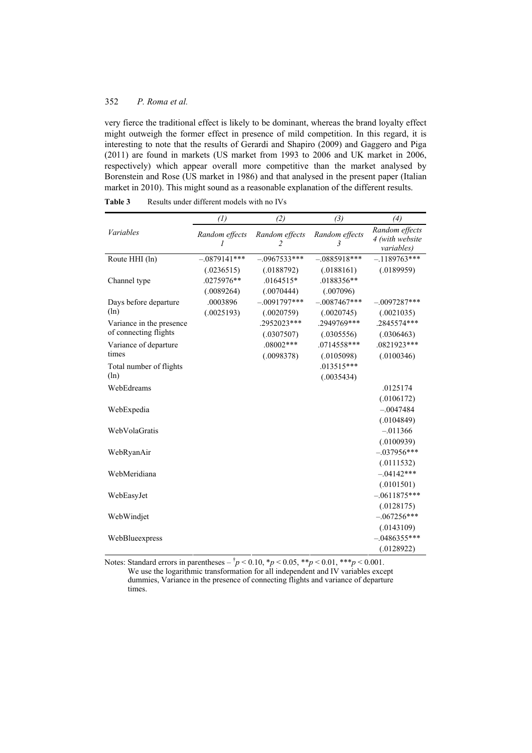very fierce the traditional effect is likely to be dominant, whereas the brand loyalty effect might outweigh the former effect in presence of mild competition. In this regard, it is interesting to note that the results of Gerardi and Shapiro (2009) and Gaggero and Piga (2011) are found in markets (US market from 1993 to 2006 and UK market in 2006, respectively) which appear overall more competitive than the market analysed by Borenstein and Rose (US market in 1986) and that analysed in the present paper (Italian market in 2010). This might sound as a reasonable explanation of the different results.

|                          | $\left( l\right)$   | (2)                 | (3)                 | (4)                                             |
|--------------------------|---------------------|---------------------|---------------------|-------------------------------------------------|
| Variables                | Random effects<br>I | Random effects<br>2 | Random effects<br>3 | Random effects<br>4 (with website<br>variables) |
| Route HHI (ln)           | $-.0879141***$      | $-.0967533***$      | $-.0885918***$      | $-.1189763***$                                  |
|                          | (.0236515)          | (.0188792)          | (.0188161)          | (.0189959)                                      |
| Channel type             | .0275976**          | $.0164515*$         | .0188356**          |                                                 |
|                          | (.0089264)          | (.0070444)          | (.007096)           |                                                 |
| Days before departure    | .0003896            | $-.0091797***$      | $-.0087467***$      | $-.0097287***$                                  |
| (ln)                     | (.0025193)          | (.0020759)          | (.0020745)          | (.0021035)                                      |
| Variance in the presence |                     | .2952023***         | .2949769***         | .2845574 ***                                    |
| of connecting flights    |                     | (.0307507)          | (.0305556)          | (.0306463)                                      |
| Variance of departure    |                     | $.08002***$         | .0714558***         | .0821923***                                     |
| times                    |                     | (.0098378)          | (.0105098)          | (.0100346)                                      |
| Total number of flights  |                     |                     | $.013515***$        |                                                 |
| (ln)                     |                     |                     | (.0035434)          |                                                 |
| WebEdreams               |                     |                     |                     | .0125174                                        |
|                          |                     |                     |                     | (.0106172)                                      |
| WebExpedia               |                     |                     |                     | $-.0047484$                                     |
|                          |                     |                     |                     | (.0104849)                                      |
| WebVolaGratis            |                     |                     |                     | $-.011366$                                      |
|                          |                     |                     |                     | (.0100939)                                      |
| WebRyanAir               |                     |                     |                     | $-.037956***$                                   |
|                          |                     |                     |                     | (.0111532)                                      |
| WebMeridiana             |                     |                     |                     | $-.04142***$                                    |
|                          |                     |                     |                     | (.0101501)                                      |
| WebEasyJet               |                     |                     |                     | $-.0611875***$                                  |
|                          |                     |                     |                     | (.0128175)                                      |
| WebWindjet               |                     |                     |                     | $-.067256***$                                   |
|                          |                     |                     |                     | (.0143109)                                      |
| WebBlueexpress           |                     |                     |                     | $-.0486355***$                                  |
|                          |                     |                     |                     | (.0128922)                                      |

Table 3 Results under different models with no IVs

Notes: Standard errors in parentheses  $-\frac{1}{7}p < 0.10$ ,  $\frac{1}{7}p < 0.05$ ,  $\frac{1}{7}p < 0.01$ ,  $\frac{1}{7}p < 0.001$ . We use the logarithmic transformation for all independent and IV variables except dummies, Variance in the presence of connecting flights and variance of departure times.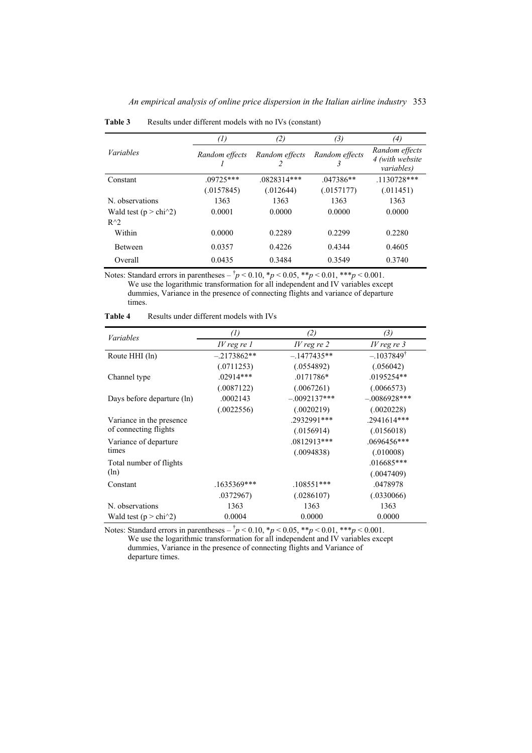|                                  | $\left( l\right)$ | (2)            | (3)            | (4)                                             |
|----------------------------------|-------------------|----------------|----------------|-------------------------------------------------|
| <i>Variables</i>                 | Random effects    | Random effects | Random effects | Random effects<br>4 (with website<br>variables) |
| Constant                         | $09725***$        | $.0828314***$  | $.047386**$    | .1130728***                                     |
|                                  | (.0157845)        | (.012644)      | (.0157177)     | (.011451)                                       |
| N. observations                  | 1363              | 1363           | 1363           | 1363                                            |
| Wald test ( $p > \text{chi}^2$ ) | 0.0001            | 0.0000         | 0.0000         | 0.0000                                          |
| $R^{\wedge}2$                    |                   |                |                |                                                 |
| Within                           | 0.0000            | 0.2289         | 0.2299         | 0.2280                                          |
| <b>Between</b>                   | 0.0357            | 0.4226         | 0.4344         | 0.4605                                          |
| Overall                          | 0.0435            | 0.3484         | 0.3549         | 0.3740                                          |

**Table 3** Results under different models with no IVs (constant)

Notes: Standard errors in parentheses  $-\frac{1}{7}p < 0.10$ ,  $\frac{1}{7}p < 0.05$ ,  $\frac{1}{7}p < 0.01$ ,  $\frac{1}{7}p < 0.001$ . We use the logarithmic transformation for all independent and IV variables except dummies, Variance in the presence of connecting flights and variance of departure times.

| <i>Variables</i>                 | $\left( l\right)$ | (2)            | (3)                   |  |
|----------------------------------|-------------------|----------------|-----------------------|--|
|                                  | $IV$ reg re $1$   | IV reg re $2$  | $IV$ reg re $3$       |  |
| Route HHI (ln)                   | $-.2173862**$     | $-.1477435**$  | $-.1037849^{\dagger}$ |  |
|                                  | (.0711253)        | (.0554892)     | (.056042)             |  |
| Channel type                     | $.02914***$       | $.0171786*$    | .0195254**            |  |
|                                  | (.0087122)        | (.0067261)     | (.0066573)            |  |
| Days before departure (ln)       | .0002143          | $-.0092137***$ | $-.0086928***$        |  |
|                                  | (.0022556)        | (.0020219)     | (.0020228)            |  |
| Variance in the presence         |                   | .2932991***    | $.2941614***$         |  |
| of connecting flights            |                   | (.0156914)     | (.0156018)            |  |
| Variance of departure            |                   | .0812913***    | .0696456***           |  |
| times                            |                   | (.0094838)     | (.010008)             |  |
| Total number of flights          |                   |                | $.016685***$          |  |
| $(\ln)$                          |                   |                | (.0047409)            |  |
| Constant                         | $.1635369***$     | $.108551***$   | .0478978              |  |
|                                  | .0372967)         | (.0286107)     | (.0330066)            |  |
| N. observations                  | 1363              | 1363           | 1363                  |  |
| Wald test ( $p > \text{chi}^2$ ) | 0.0004            | 0.0000         | 0.0000                |  |

Notes: Standard errors in parentheses  $-\frac{1}{7}p < 0.10$ ,  $\frac{1}{7}p < 0.05$ ,  $\frac{1}{7}p < 0.01$ ,  $\frac{1}{7}p < 0.001$ . We use the logarithmic transformation for all independent and IV variables except dummies, Variance in the presence of connecting flights and Variance of departure times.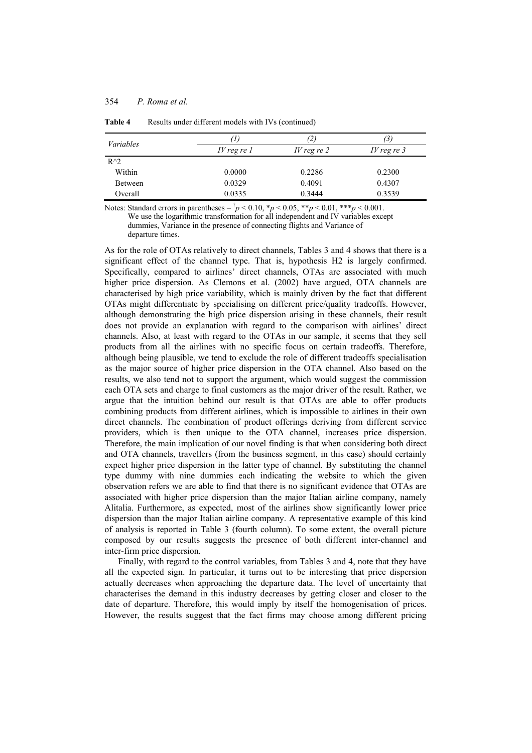| <i>Variables</i> | T)              | 2)            | (3)           |
|------------------|-----------------|---------------|---------------|
|                  | $IV$ reg re $I$ | IV reg re $2$ | IV reg re $3$ |
| $R^{\wedge}2$    |                 |               |               |
| Within           | 0.0000          | 0.2286        | 0.2300        |
| Between          | 0.0329          | 0.4091        | 0.4307        |
| Overall          | 0.0335          | 0.3444        | 0.3539        |

Table 4 Results under different models with IVs (continued)

Notes: Standard errors in parentheses  $-\frac{1}{7}p < 0.10$ ,  $\frac{1}{7}p < 0.05$ ,  $\frac{1}{7}p < 0.01$ ,  $\frac{1}{7}p < 0.001$ . We use the logarithmic transformation for all independent and IV variables except dummies, Variance in the presence of connecting flights and Variance of departure times.

As for the role of OTAs relatively to direct channels, Tables 3 and 4 shows that there is a significant effect of the channel type. That is, hypothesis H2 is largely confirmed. Specifically, compared to airlines' direct channels, OTAs are associated with much higher price dispersion. As Clemons et al. (2002) have argued, OTA channels are characterised by high price variability, which is mainly driven by the fact that different OTAs might differentiate by specialising on different price/quality tradeoffs. However, although demonstrating the high price dispersion arising in these channels, their result does not provide an explanation with regard to the comparison with airlines' direct channels. Also, at least with regard to the OTAs in our sample, it seems that they sell products from all the airlines with no specific focus on certain tradeoffs. Therefore, although being plausible, we tend to exclude the role of different tradeoffs specialisation as the major source of higher price dispersion in the OTA channel. Also based on the results, we also tend not to support the argument, which would suggest the commission each OTA sets and charge to final customers as the major driver of the result. Rather, we argue that the intuition behind our result is that OTAs are able to offer products combining products from different airlines, which is impossible to airlines in their own direct channels. The combination of product offerings deriving from different service providers, which is then unique to the OTA channel, increases price dispersion. Therefore, the main implication of our novel finding is that when considering both direct and OTA channels, travellers (from the business segment, in this case) should certainly expect higher price dispersion in the latter type of channel. By substituting the channel type dummy with nine dummies each indicating the website to which the given observation refers we are able to find that there is no significant evidence that OTAs are associated with higher price dispersion than the major Italian airline company, namely Alitalia. Furthermore, as expected, most of the airlines show significantly lower price dispersion than the major Italian airline company. A representative example of this kind of analysis is reported in Table 3 (fourth column). To some extent, the overall picture composed by our results suggests the presence of both different inter-channel and inter-firm price dispersion.

Finally, with regard to the control variables, from Tables 3 and 4, note that they have all the expected sign. In particular, it turns out to be interesting that price dispersion actually decreases when approaching the departure data. The level of uncertainty that characterises the demand in this industry decreases by getting closer and closer to the date of departure. Therefore, this would imply by itself the homogenisation of prices. However, the results suggest that the fact firms may choose among different pricing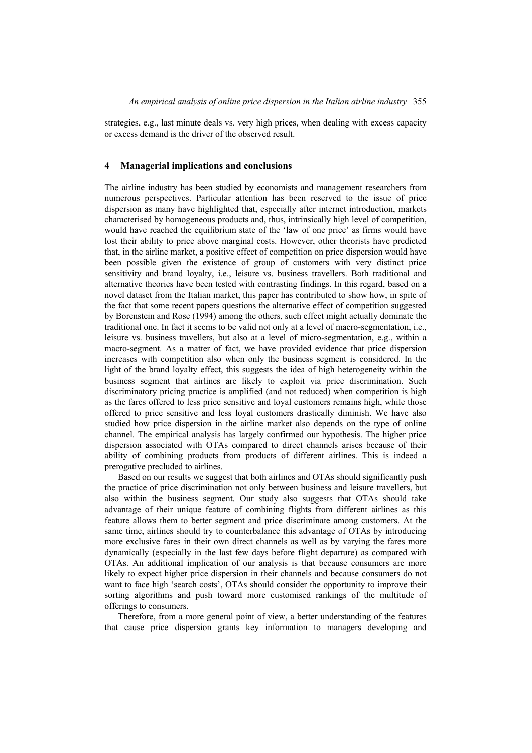strategies, e.g., last minute deals vs. very high prices, when dealing with excess capacity or excess demand is the driver of the observed result.

## **4 Managerial implications and conclusions**

The airline industry has been studied by economists and management researchers from numerous perspectives. Particular attention has been reserved to the issue of price dispersion as many have highlighted that, especially after internet introduction, markets characterised by homogeneous products and, thus, intrinsically high level of competition, would have reached the equilibrium state of the 'law of one price' as firms would have lost their ability to price above marginal costs. However, other theorists have predicted that, in the airline market, a positive effect of competition on price dispersion would have been possible given the existence of group of customers with very distinct price sensitivity and brand loyalty, i.e., leisure vs. business travellers. Both traditional and alternative theories have been tested with contrasting findings. In this regard, based on a novel dataset from the Italian market, this paper has contributed to show how, in spite of the fact that some recent papers questions the alternative effect of competition suggested by Borenstein and Rose (1994) among the others, such effect might actually dominate the traditional one. In fact it seems to be valid not only at a level of macro-segmentation, i.e., leisure vs. business travellers, but also at a level of micro-segmentation, e.g., within a macro-segment. As a matter of fact, we have provided evidence that price dispersion increases with competition also when only the business segment is considered. In the light of the brand loyalty effect, this suggests the idea of high heterogeneity within the business segment that airlines are likely to exploit via price discrimination. Such discriminatory pricing practice is amplified (and not reduced) when competition is high as the fares offered to less price sensitive and loyal customers remains high, while those offered to price sensitive and less loyal customers drastically diminish. We have also studied how price dispersion in the airline market also depends on the type of online channel. The empirical analysis has largely confirmed our hypothesis. The higher price dispersion associated with OTAs compared to direct channels arises because of their ability of combining products from products of different airlines. This is indeed a prerogative precluded to airlines.

Based on our results we suggest that both airlines and OTAs should significantly push the practice of price discrimination not only between business and leisure travellers, but also within the business segment. Our study also suggests that OTAs should take advantage of their unique feature of combining flights from different airlines as this feature allows them to better segment and price discriminate among customers. At the same time, airlines should try to counterbalance this advantage of OTAs by introducing more exclusive fares in their own direct channels as well as by varying the fares more dynamically (especially in the last few days before flight departure) as compared with OTAs. An additional implication of our analysis is that because consumers are more likely to expect higher price dispersion in their channels and because consumers do not want to face high 'search costs', OTAs should consider the opportunity to improve their sorting algorithms and push toward more customised rankings of the multitude of offerings to consumers.

Therefore, from a more general point of view, a better understanding of the features that cause price dispersion grants key information to managers developing and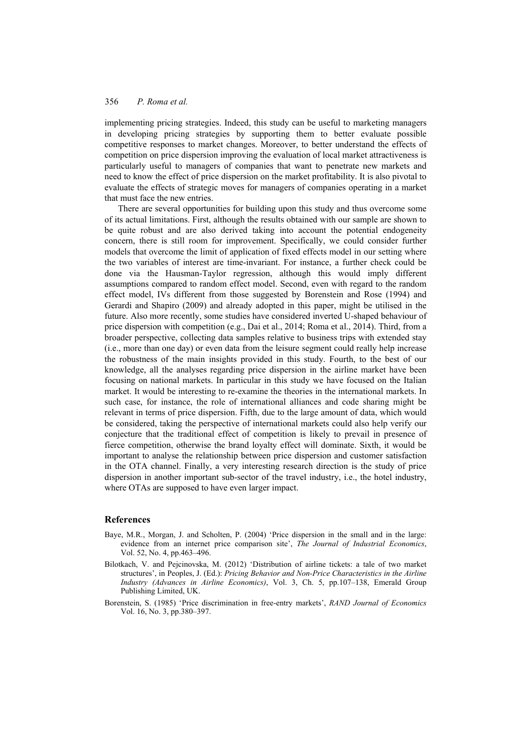implementing pricing strategies. Indeed, this study can be useful to marketing managers in developing pricing strategies by supporting them to better evaluate possible competitive responses to market changes. Moreover, to better understand the effects of competition on price dispersion improving the evaluation of local market attractiveness is particularly useful to managers of companies that want to penetrate new markets and need to know the effect of price dispersion on the market profitability. It is also pivotal to evaluate the effects of strategic moves for managers of companies operating in a market that must face the new entries.

There are several opportunities for building upon this study and thus overcome some of its actual limitations. First, although the results obtained with our sample are shown to be quite robust and are also derived taking into account the potential endogeneity concern, there is still room for improvement. Specifically, we could consider further models that overcome the limit of application of fixed effects model in our setting where the two variables of interest are time-invariant. For instance, a further check could be done via the Hausman-Taylor regression, although this would imply different assumptions compared to random effect model. Second, even with regard to the random effect model, IVs different from those suggested by Borenstein and Rose (1994) and Gerardi and Shapiro (2009) and already adopted in this paper, might be utilised in the future. Also more recently, some studies have considered inverted U-shaped behaviour of price dispersion with competition (e.g., Dai et al., 2014; Roma et al., 2014). Third, from a broader perspective, collecting data samples relative to business trips with extended stay (i.e., more than one day) or even data from the leisure segment could really help increase the robustness of the main insights provided in this study. Fourth, to the best of our knowledge, all the analyses regarding price dispersion in the airline market have been focusing on national markets. In particular in this study we have focused on the Italian market. It would be interesting to re-examine the theories in the international markets. In such case, for instance, the role of international alliances and code sharing might be relevant in terms of price dispersion. Fifth, due to the large amount of data, which would be considered, taking the perspective of international markets could also help verify our conjecture that the traditional effect of competition is likely to prevail in presence of fierce competition, otherwise the brand loyalty effect will dominate. Sixth, it would be important to analyse the relationship between price dispersion and customer satisfaction in the OTA channel. Finally, a very interesting research direction is the study of price dispersion in another important sub-sector of the travel industry, i.e., the hotel industry, where OTAs are supposed to have even larger impact.

#### **References**

- Baye, M.R., Morgan, J. and Scholten, P. (2004) 'Price dispersion in the small and in the large: evidence from an internet price comparison site', *The Journal of Industrial Economics*, Vol. 52, No. 4, pp.463–496.
- Bilotkach, V. and Pejcinovska, M. (2012) 'Distribution of airline tickets: a tale of two market structures', in Peoples, J. (Ed.): *Pricing Behavior and Non-Price Characteristics in the Airline Industry (Advances in Airline Economics)*, Vol. 3, Ch. 5, pp.107–138, Emerald Group Publishing Limited, UK.
- Borenstein, S. (1985) 'Price discrimination in free-entry markets', *RAND Journal of Economics*  Vol. 16, No. 3, pp.380–397.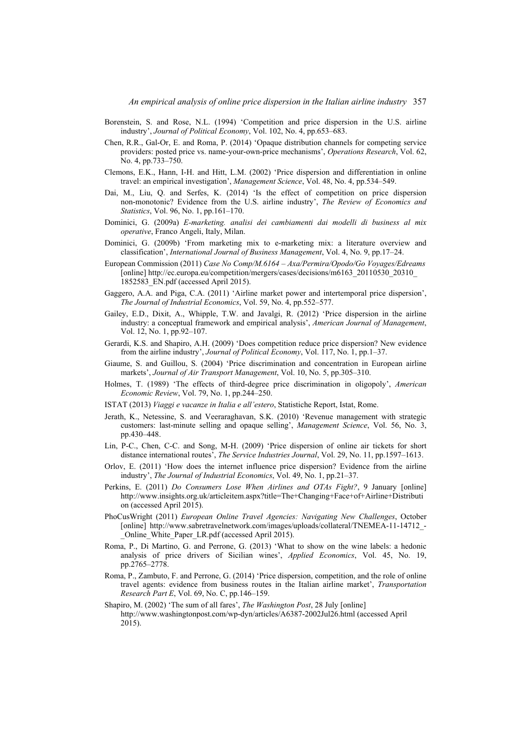- Borenstein, S. and Rose, N.L. (1994) 'Competition and price dispersion in the U.S. airline industry', *Journal of Political Economy*, Vol. 102, No. 4, pp.653–683.
- Chen, R.R., Gal-Or, E. and Roma, P. (2014) 'Opaque distribution channels for competing service providers: posted price vs. name-your-own-price mechanisms', *Operations Research*, Vol. 62, No. 4, pp.733–750.
- Clemons, E.K., Hann, I-H. and Hitt, L.M. (2002) 'Price dispersion and differentiation in online travel: an empirical investigation', *Management Science*, Vol. 48, No. 4, pp.534–549.
- Dai, M., Liu, Q. and Serfes, K. (2014) 'Is the effect of competition on price dispersion non-monotonic? Evidence from the U.S. airline industry', *The Review of Economics and Statistics*, Vol. 96, No. 1, pp.161–170.
- Dominici, G. (2009a) *E-marketing. analisi dei cambiamenti dai modelli di business al mix operative*, Franco Angeli, Italy, Milan.
- Dominici, G. (2009b) 'From marketing mix to e-marketing mix: a literature overview and classification', *International Journal of Business Management*, Vol. 4, No. 9, pp.17–24.
- European Commission (2011) *Case No Comp/M.6164 Axa/Permira/Opodo/Go Voyages/Edreams* [online] http://ec.europa.eu/competition/mergers/cases/decisions/m6163\_20110530\_20310 1852583\_EN.pdf (accessed April 2015).
- Gaggero, A.A. and Piga, C.A. (2011) 'Airline market power and intertemporal price dispersion', *The Journal of Industrial Economics*, Vol. 59, No. 4, pp.552–577.
- Gailey, E.D., Dixit, A., Whipple, T.W. and Javalgi, R. (2012) 'Price dispersion in the airline industry: a conceptual framework and empirical analysis', *American Journal of Management*, Vol. 12, No. 1, pp.92–107.
- Gerardi, K.S. and Shapiro, A.H. (2009) 'Does competition reduce price dispersion? New evidence from the airline industry', *Journal of Political Economy*, Vol. 117, No. 1, pp.1–37.
- Giaume, S. and Guillou, S. (2004) 'Price discrimination and concentration in European airline markets', *Journal of Air Transport Management*, Vol. 10, No. 5, pp.305–310.
- Holmes, T. (1989) 'The effects of third-degree price discrimination in oligopoly', *American Economic Review*, Vol. 79, No. 1, pp.244–250.
- ISTAT (2013) *Viaggi e vacanze in Italia e all'estero*, Statistiche Report, Istat, Rome.
- Jerath, K., Netessine, S. and Veeraraghavan, S.K. (2010) 'Revenue management with strategic customers: last-minute selling and opaque selling', *Management Science*, Vol. 56, No. 3, pp.430–448.
- Lin, P-C., Chen, C-C. and Song, M-H. (2009) 'Price dispersion of online air tickets for short distance international routes', *The Service Industries Journal*, Vol. 29, No. 11, pp.1597–1613.
- Orlov, E. (2011) 'How does the internet influence price dispersion? Evidence from the airline industry', *The Journal of Industrial Economics*, Vol. 49, No. 1, pp.21–37.
- Perkins, E. (2011) *Do Consumers Lose When Airlines and OTAs Fight?*, 9 January [online] http://www.insights.org.uk/articleitem.aspx?title=The+Changing+Face+of+Airline+Distributi on (accessed April 2015).
- PhoCusWright (2011) *European Online Travel Agencies: Navigating New Challenges*, October [online] http://www.sabretravelnetwork.com/images/uploads/collateral/TNEMEA-11-14712 -\_Online\_White\_Paper\_LR.pdf (accessed April 2015).
- Roma, P., Di Martino, G. and Perrone, G. (2013) 'What to show on the wine labels: a hedonic analysis of price drivers of Sicilian wines', *Applied Economics*, Vol. 45, No. 19, pp.2765–2778.
- Roma, P., Zambuto, F. and Perrone, G. (2014) 'Price dispersion, competition, and the role of online travel agents: evidence from business routes in the Italian airline market', *Transportation Research Part E*, Vol. 69, No. C, pp.146–159.
- Shapiro, M. (2002) 'The sum of all fares', *The Washington Post*, 28 July [online] http://www.washingtonpost.com/wp-dyn/articles/A6387-2002Jul26.html (accessed April 2015).